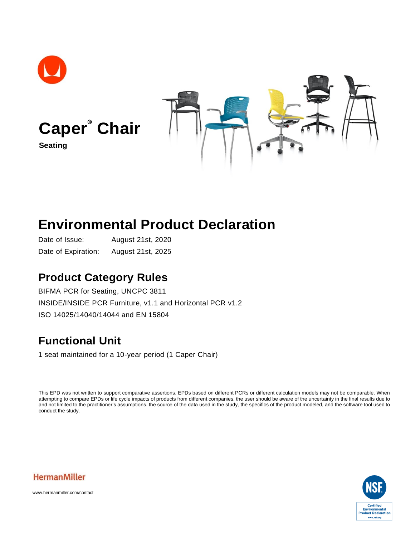

# **Environmental Product Declaration**

Date of Issue: August 21st, 2020 Date of Expiration: August 21st, 2025

## **Product Category Rules**

BIFMA PCR for Seating, UNCPC 3811 INSIDE/INSIDE PCR Furniture, v1.1 and Horizontal PCR v1.2 ISO 14025/14040/14044 and EN 15804

# **Functional Unit**

1 seat maintained for a 10-year period (1 Caper Chair)

This EPD was not written to support comparative assertions. EPDs based on different PCRs or different calculation models may not be comparable. When attempting to compare EPDs or life cycle impacts of products from different companies, the user should be aware of the uncertainty in the final results due to and not limited to the practitioner's assumptions, the source of the data used in the study, the specifics of the product modeled, and the software tool used to conduct the study.





www.hermanmiller.com/contact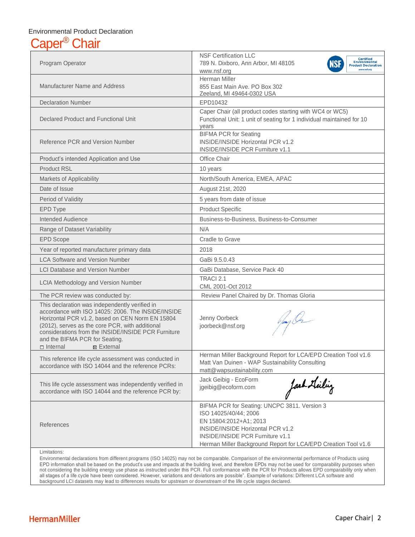## Environmental Product Declaration Chair

| Program Operator                                                                                                                                                                                                                                                                                                                     | <b>NSF Certification LLC</b><br><b>Certified</b><br><b>Environmental</b><br>789 N. Dixboro, Ann Arbor, MI 48105<br><b>Product Declaration</b><br>www.nsf.org<br>www.nsf.org                                                                       |  |  |  |  |  |  |  |  |
|--------------------------------------------------------------------------------------------------------------------------------------------------------------------------------------------------------------------------------------------------------------------------------------------------------------------------------------|---------------------------------------------------------------------------------------------------------------------------------------------------------------------------------------------------------------------------------------------------|--|--|--|--|--|--|--|--|
| <b>Manufacturer Name and Address</b>                                                                                                                                                                                                                                                                                                 | Herman Miller<br>855 East Main Ave. PO Box 302<br>Zeeland, MI 49464-0302 USA                                                                                                                                                                      |  |  |  |  |  |  |  |  |
| <b>Declaration Number</b>                                                                                                                                                                                                                                                                                                            | EPD10432                                                                                                                                                                                                                                          |  |  |  |  |  |  |  |  |
| Declared Product and Functional Unit                                                                                                                                                                                                                                                                                                 | Caper Chair (all product codes starting with WC4 or WC5)<br>Functional Unit: 1 unit of seating for 1 individual maintained for 10<br>years                                                                                                        |  |  |  |  |  |  |  |  |
| Reference PCR and Version Number                                                                                                                                                                                                                                                                                                     | <b>BIFMA PCR for Seating</b><br><b>INSIDE/INSIDE Horizontal PCR v1.2</b><br>INSIDE/INSIDE PCR Furniture v1.1                                                                                                                                      |  |  |  |  |  |  |  |  |
| Product's intended Application and Use                                                                                                                                                                                                                                                                                               | Office Chair                                                                                                                                                                                                                                      |  |  |  |  |  |  |  |  |
| <b>Product RSL</b>                                                                                                                                                                                                                                                                                                                   | 10 years                                                                                                                                                                                                                                          |  |  |  |  |  |  |  |  |
| Markets of Applicability                                                                                                                                                                                                                                                                                                             | North/South America, EMEA, APAC                                                                                                                                                                                                                   |  |  |  |  |  |  |  |  |
| Date of Issue                                                                                                                                                                                                                                                                                                                        | August 21st, 2020                                                                                                                                                                                                                                 |  |  |  |  |  |  |  |  |
| Period of Validity                                                                                                                                                                                                                                                                                                                   | 5 years from date of issue                                                                                                                                                                                                                        |  |  |  |  |  |  |  |  |
| <b>EPD Type</b>                                                                                                                                                                                                                                                                                                                      | <b>Product Specific</b>                                                                                                                                                                                                                           |  |  |  |  |  |  |  |  |
| Intended Audience                                                                                                                                                                                                                                                                                                                    | Business-to-Business, Business-to-Consumer                                                                                                                                                                                                        |  |  |  |  |  |  |  |  |
| Range of Dataset Variability                                                                                                                                                                                                                                                                                                         | N/A                                                                                                                                                                                                                                               |  |  |  |  |  |  |  |  |
| <b>EPD Scope</b>                                                                                                                                                                                                                                                                                                                     | Cradle to Grave                                                                                                                                                                                                                                   |  |  |  |  |  |  |  |  |
| Year of reported manufacturer primary data                                                                                                                                                                                                                                                                                           | 2018                                                                                                                                                                                                                                              |  |  |  |  |  |  |  |  |
| <b>LCA Software and Version Number</b>                                                                                                                                                                                                                                                                                               | GaBi 9.5.0.43                                                                                                                                                                                                                                     |  |  |  |  |  |  |  |  |
| <b>LCI Database and Version Number</b>                                                                                                                                                                                                                                                                                               | GaBi Database, Service Pack 40                                                                                                                                                                                                                    |  |  |  |  |  |  |  |  |
| LCIA Methodology and Version Number                                                                                                                                                                                                                                                                                                  | TRACI 2.1<br>CML 2001-Oct 2012                                                                                                                                                                                                                    |  |  |  |  |  |  |  |  |
| The PCR review was conducted by:                                                                                                                                                                                                                                                                                                     | Review Panel Chaired by Dr. Thomas Gloria                                                                                                                                                                                                         |  |  |  |  |  |  |  |  |
| This declaration was independently verified in<br>accordance with ISO 14025: 2006. The INSIDE/INSIDE<br>Horizontal PCR v1.2, based on CEN Norm EN 15804<br>(2012), serves as the core PCR, with additional<br>considerations from the INSIDE/INSIDE PCR Furniture<br>and the BIFMA PCR for Seating.<br>$\Box$ Internal<br>⊠ External | Jenny Oorbeck<br>$\ell/m$<br>joorbeck@nsf.org                                                                                                                                                                                                     |  |  |  |  |  |  |  |  |
| This reference life cycle assessment was conducted in<br>accordance with ISO 14044 and the reference PCRs:                                                                                                                                                                                                                           | Herman Miller Background Report for LCA/EPD Creation Tool v1.6<br>Matt Van Duinen - WAP Sustainability Consulting<br>matt@wapsustainability.com                                                                                                   |  |  |  |  |  |  |  |  |
| This life cycle assessment was independently verified in<br>accordance with ISO 14044 and the reference PCR by:                                                                                                                                                                                                                      | Jack Geibig - EcoForm<br>fash Leilig<br>jgeibig@ecoform.com                                                                                                                                                                                       |  |  |  |  |  |  |  |  |
| References                                                                                                                                                                                                                                                                                                                           | BIFMA PCR for Seating: UNCPC 3811. Version 3<br>ISO 14025/40/44; 2006<br>EN 15804:2012+A1; 2013<br><b>INSIDE/INSIDE Horizontal PCR v1.2</b><br>INSIDE/INSIDE PCR Furniture v1.1<br>Herman Miller Background Report for LCA/EPD Creation Tool v1.6 |  |  |  |  |  |  |  |  |
| Limitations:                                                                                                                                                                                                                                                                                                                         | Environmental declarations from different programs (ISO 14025) may not be comparable. Comparison of the environmental performance of Products using                                                                                               |  |  |  |  |  |  |  |  |

Environmental declarations from different programs (ISO 14025) may not be comparable. Comparison of the environmental performance of Products using EPD information shall be based on the product's use and impacts at the building level, and therefore EPDs may not be used for comparability purposes when not considering the building energy use phase as instructed under this PCR. Full conformance with the PCR for Products allows EPD comparability only when all stages of a life cycle have been considered. However, variations and deviations are possible". Example of variations: Different LCA software and background LCI datasets may lead to differences results for upstream or downstream of the life cycle stages declared.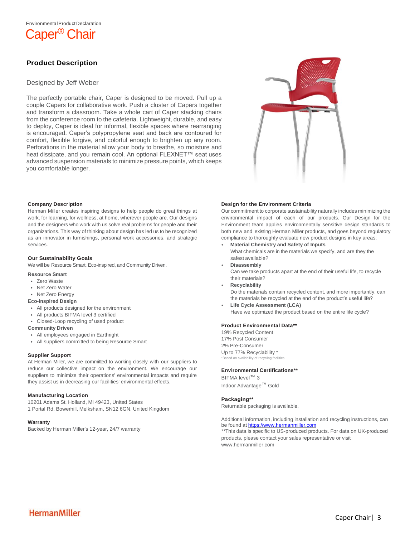

### **Product Description**

#### Designed by Jeff Weber

The perfectly portable chair, Caper is designed to be moved. Pull up a couple Capers for collaborative work. Push a cluster of Capers together and transform a classroom. Take a whole cart of Caper stacking chairs from the conference room to the cafeteria. Lightweight, durable, and easy to deploy, Caper is ideal for informal, flexible spaces where rearranging is encouraged. Caper's polypropylene seat and back are contoured for comfort, flexible forgive, and colorful enough to brighten up any room. Perforations in the material allow your body to breathe, so moisture and heat dissipate, and you remain cool. An optional FLEXNET<sup>™</sup> seat uses advanced suspension materials to minimize pressure points, which keeps you comfortable longer.



#### **Company Description**

Herman Miller creates inspiring designs to help people do great things at work, for learning, for wellness, at home, wherever people are. Our designs and the designers who work with us solve real problems for people and their organizations. This way of thinking about design has led us to be recognized as an innovator in furnishings, personal work accessories, and strategic services.

#### **Our Sustainability Goals**

We will be Resource Smart, Eco-inspired, and Community Driven.

#### **Resource Smart**

- Zero Waste
- Net Zero Water
- Net Zero Energy

#### **Eco-inspired Design**

- All products designed for the environment
- All products BIFMA level 3 certified
- Closed-Loop recycling of used product

#### **Community Driven**

- All employees engaged in Earthright
- All suppliers committed to being Resource Smart

#### **Supplier Support**

At Herman Miller, we are committed to working closely with our suppliers to reduce our collective impact on the environment. We encourage our suppliers to minimize their operations' environmental impacts and require they assist us in decreasing our facilities' environmental effects.

#### **Manufacturing Location**

10201 Adams St, Holland, MI 49423, United States 1 Portal Rd, Bowerhill, Melksham, SN12 6GN, United Kingdom

#### **Warranty**

Backed by Herman Miller's 12-year, 24/7 warranty

#### **Design for the Environment Criteria**

Our commitment to corporate sustainability naturally includes minimizing the environmental impact of each of our products. Our Design for the Environment team applies environmentally sensitive design standards to both new and existing Herman Miller products, and goes beyond regulatory compliance to thoroughly evaluate new product designs in key areas:

- **Material Chemistry and Safety of Inputs**
- What chemicals are in the materials we specify, and are they the safest available?
- **Disassembly**

Can we take products apart at the end of their useful life, to recycle their materials?

• **Recyclability**

Do the materials contain recycled content, and more importantly, can the materials be recycled at the end of the product's useful life?

• **Life Cycle Assessment (LCA)** Have we optimized the product based on the entire life cycle?

#### **Product Environmental Data\*\***

19% Recycled Content 17% Post Consumer 2% Pre-Consumer Up to 77% Recyclability \* bility of recycling far

#### **Environmental Certifications\*\***

BIFMA level™ 3 Indoor Advantage™ Gold

#### **Packaging\*\***

Returnable packaging is available.

Additional information, including installation and recycling instructions, can be found a[t https://www.hermanmiller.com](https://www.hermanmiller.com/)

\*\*This data is specific to US-produced products. For data on UK-produced products, please contact your sales representative or visit www.hermanmiller.com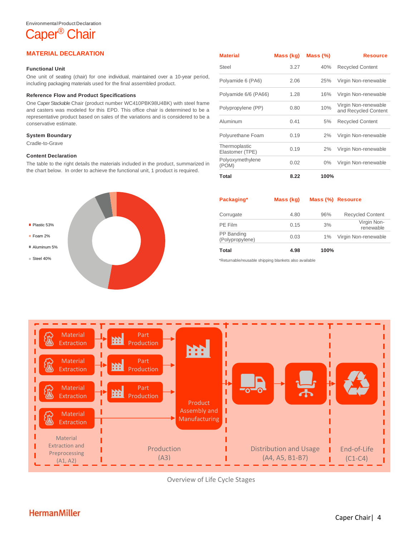# Caper<sup>®</sup> Chair

#### **MATERIAL DECLARATION**

#### **Functional Unit**

One unit of seating (chair) for one individual, maintained over a 10-year period, including packaging materials used for the final assembled product.

#### **Reference Flow and Product Specifications**

One CaperStackable Chair (product number WC410PBK98U4BK) with steel frame and casters was modeled for this EPD. This office chair is determined to be a representative product based on sales of the variations and is considered to be a conservative estimate.

#### **System Boundary**

Cradle-to-Grave

#### **Content Declaration**

The table to the right details the materials included in the product, summarized in the chart below. In order to achieve the functional unit, 1 product is required.



| <b>Material</b>                  | Mass (kg) | Mass (%) | <b>Resource</b>                              |
|----------------------------------|-----------|----------|----------------------------------------------|
| Steel                            | 3.27      | 40%      | <b>Recycled Content</b>                      |
| Polyamide 6 (PA6)                | 2.06      | 25%      | Virgin Non-renewable                         |
| Polyamide 6/6 (PA66)             | 1.28      | 16%      | Virgin Non-renewable                         |
| Polypropylene (PP)               | 0.80      | 10%      | Virgin Non-renewable<br>and Recycled Content |
| Aluminum                         | 0.41      | 5%       | <b>Recycled Content</b>                      |
| Polyurethane Foam                | 0.19      | 2%       | Virgin Non-renewable                         |
| Thermoplastic<br>Elastomer (TPE) | 0.19      | 2%       | Virgin Non-renewable                         |
| Polyoxymethylene<br>(POM)        | 0.02      | $0\%$    | Virgin Non-renewable                         |
| Total                            | 8.22      | 100%     |                                              |

| Packaging*                    | Mass (kg) |       | Mass (%) Resource        |
|-------------------------------|-----------|-------|--------------------------|
| Corrugate                     | 4.80      | 96%   | <b>Recycled Content</b>  |
| PE Film                       | 0.15      | 3%    | Virgin Non-<br>renewable |
| PP Banding<br>(Polypropylene) | 0.03      | $1\%$ | Virgin Non-renewable     |
| Total                         | 4.98      | 100%  |                          |

\*Returnable/reusable shipping blankets also available



Overview of Life Cycle Stages

## **HermanMiller**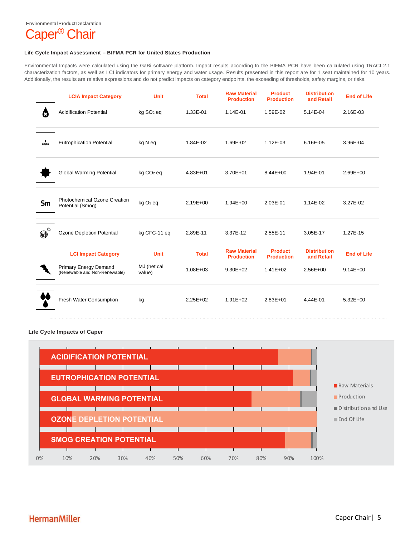#### EnvironmentalProduct Declaration



#### **Life Cycle Impact Assessment – BIFMA PCR for United States Production**

Environmental Impacts were calculated using the GaBi software platform. Impact results according to the BIFMA PCR have been calculated using TRACI 2.1 characterization factors, as well as LCI indicators for primary energy and water usage. Results presented in this report are for 1 seat maintained for 10 years. Additionally, the results are relative expressions and do not predict impacts on category endpoints, the exceeding of thresholds, safety margins, or risks.

|                               | <b>LCIA Impact Category</b>                                   | <b>Unit</b>           | <b>Total</b> | <b>Raw Material</b><br><b>Production</b> | <b>Product</b><br><b>Production</b> | <b>Distribution</b><br>and Retail | <b>End of Life</b> |
|-------------------------------|---------------------------------------------------------------|-----------------------|--------------|------------------------------------------|-------------------------------------|-----------------------------------|--------------------|
| ది                            | <b>Acidification Potential</b>                                | kg SO <sub>2</sub> eq | 1.33E-01     | 1.14E-01                                 | 1.59E-02                            | 5.14E-04                          | 2.16E-03           |
| $\frac{1}{\sqrt{2}}$          | <b>Eutrophication Potential</b>                               | kg N eq               | 1.84E-02     | 1.69E-02                                 | 1.12E-03                            | 6.16E-05                          | 3.96E-04           |
|                               | <b>Global Warming Potential</b>                               | kg CO <sub>2</sub> eq | 4.83E+01     | 3.70E+01                                 | 8.44E+00                            | 1.94E-01                          | 2.69E+00           |
| Sm                            | <b>Photochemical Ozone Creation</b><br>Potential (Smog)       | kg O <sub>3</sub> eq  | $2.19E + 00$ | $1.94E + 00$                             | 2.03E-01                            | 1.14E-02                          | 3.27E-02           |
| $\boldsymbol{\Theta}^{\circ}$ | Ozone Depletion Potential                                     | kg CFC-11 eq          | 2.89E-11     | 3.37E-12                                 | 2.55E-11                            | 3.05E-17                          | 1.27E-15           |
|                               | <b>LCI Impact Category</b>                                    | <b>Unit</b>           | <b>Total</b> | <b>Raw Material</b><br><b>Production</b> | <b>Product</b><br><b>Production</b> | <b>Distribution</b><br>and Retail | <b>End of Life</b> |
|                               | <b>Primary Energy Demand</b><br>(Renewable and Non-Renewable) | MJ (net cal<br>value) | $1.08E + 03$ | $9.30E + 02$                             | $1.41E + 02$                        | 2.56E+00                          | $9.14E + 00$       |
|                               | Fresh Water Consumption                                       | kg                    | $2.25E + 02$ | $1.91E + 02$                             | $2.83E + 01$                        | 4.44E-01                          | $5.32E+00$         |

#### **Life Cycle Impacts of Caper**

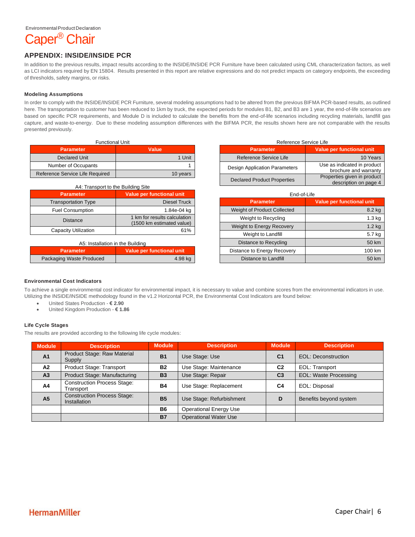

#### **APPENDIX: INSIDE/INSIDE PCR**

In addition to the previous results, impact results according to the INSIDE/INSIDE PCR Furniture have been calculated using CML characterization factors, as well as LCI indicators required by EN 15804. Results presented in this report are relative expressions and do not predict impacts on category endpoints, the exceeding of thresholds, safety margins, or risks.

#### **Modeling Assumptions**

In order to comply with the INSIDE/INSIDE PCR Furniture, several modeling assumptions had to be altered from the previous BIFMA PCR-based results, as outlined here. The transportation to customer has been reduced to 1km by truck, the expected periods for modules B1, B2, and B3 are 1 year, the end-of-life scenarios are based on specific PCR requirements, and Module D is included to calculate the benefits from the end-of-life scenarios including recycling materials, landfill gas capture, and waste-to-energy. Due to these modeling assumption differences with the BIFMA PCR, the results shown here are not comparable with the results presented previously.

| <b>Functional Unit</b>          |              |
|---------------------------------|--------------|
| <b>Parameter</b>                | <b>Value</b> |
| <b>Declared Unit</b>            | 1 Unit       |
| Number of Occupants             |              |
| Reference Service Life Required | 10 years     |

| A4: Transport to the Building Site |                                                           |  |  |  |  |  |  |  |  |
|------------------------------------|-----------------------------------------------------------|--|--|--|--|--|--|--|--|
| <b>Parameter</b>                   | Value per functional unit                                 |  |  |  |  |  |  |  |  |
| <b>Transportation Type</b>         | <b>Diesel Truck</b>                                       |  |  |  |  |  |  |  |  |
| <b>Fuel Consumption</b>            | 1.84e-04 kg                                               |  |  |  |  |  |  |  |  |
| <b>Distance</b>                    | 1 km for results calculation<br>(1500 km estimated value) |  |  |  |  |  |  |  |  |
| Capacity Utilization               | 61%                                                       |  |  |  |  |  |  |  |  |

#### A5: Installation in the Building

| <b>Parameter</b>         | Value per functional unit |  |  |  |  |
|--------------------------|---------------------------|--|--|--|--|
| Packaging Waste Produced | 4.98 kg                   |  |  |  |  |

| Reference Service Life               |                                                      |  |  |  |  |  |  |  |  |
|--------------------------------------|------------------------------------------------------|--|--|--|--|--|--|--|--|
| <b>Parameter</b>                     | <b>Value per functional unit</b>                     |  |  |  |  |  |  |  |  |
| Reference Service Life               | 10 Years                                             |  |  |  |  |  |  |  |  |
| <b>Design Application Parameters</b> | Use as indicated in product<br>brochure and warranty |  |  |  |  |  |  |  |  |
| <b>Declared Product Properties</b>   | Properties given in product<br>description on page 4 |  |  |  |  |  |  |  |  |

| End-of-Life                        |                                  |  |  |  |  |  |  |  |  |
|------------------------------------|----------------------------------|--|--|--|--|--|--|--|--|
| <b>Parameter</b>                   | <b>Value per functional unit</b> |  |  |  |  |  |  |  |  |
| <b>Weight of Product Collected</b> | 8.2 kg                           |  |  |  |  |  |  |  |  |
| Weight to Recycling                | 1.3 <sub>kq</sub>                |  |  |  |  |  |  |  |  |
| Weight to Energy Recovery          | $1.2$ kg                         |  |  |  |  |  |  |  |  |
| Weight to Landfill                 | 5.7 kg                           |  |  |  |  |  |  |  |  |
| Distance to Recycling              | 50 km                            |  |  |  |  |  |  |  |  |
| Distance to Energy Recovery        | 100 km                           |  |  |  |  |  |  |  |  |
| Distance to Landfill               | 50 km                            |  |  |  |  |  |  |  |  |

#### **Environmental Cost Indicators**

To achieve a single environmental cost indicator for environmental impact, it is necessary to value and combine scores from the environmental indicators in use. Utilizing the INSIDE/INSIDE methodology found in the v1.2 Horizontal PCR, the Environmental Cost Indicators are found below:

- United States Production **€ 2.90**
- United Kingdom Production **€ 1.86**

#### **Life Cycle Stages**

The results are provided according to the following life cycle modules:

| <b>Module</b>  | <b>Description</b>                                 | <b>Module</b> | <b>Description</b>            | Module         | <b>Description</b>           |
|----------------|----------------------------------------------------|---------------|-------------------------------|----------------|------------------------------|
| A <sub>1</sub> | Product Stage: Raw Material<br>Supply              | <b>B1</b>     | Use Stage: Use                | C <sub>1</sub> | EOL: Deconstruction          |
| A2             | Product Stage: Transport                           | <b>B2</b>     | Use Stage: Maintenance        | C <sub>2</sub> | EOL: Transport               |
| A <sub>3</sub> | Product Stage: Manufacturing                       | <b>B3</b>     | Use Stage: Repair             | C <sub>3</sub> | <b>EOL: Waste Processing</b> |
| A4             | <b>Construction Process Stage:</b><br>Transport    | <b>B4</b>     | Use Stage: Replacement        | C4             | EOL: Disposal                |
| A <sub>5</sub> | <b>Construction Process Stage:</b><br>Installation | <b>B5</b>     | Use Stage: Refurbishment      | D              | Benefits beyond system       |
|                |                                                    | <b>B6</b>     | <b>Operational Energy Use</b> |                |                              |
|                |                                                    | <b>B7</b>     | <b>Operational Water Use</b>  |                |                              |

### **HermanMiller**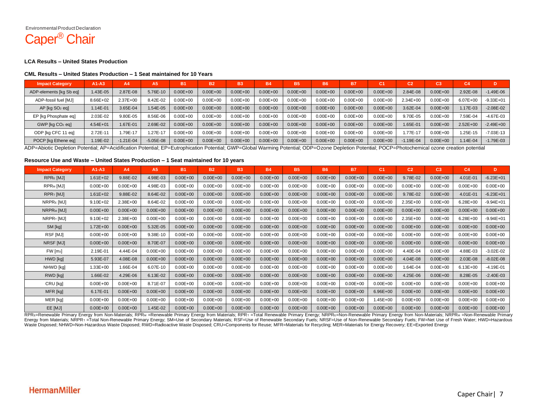EnvironmentalProduct Declaration

# Caper® Chair

#### **LCA Results – United States Production**

#### **CML Results – United States Production – 1 Seat maintained for 10 Years**

| <b>Impact Category</b>  | $A1 - A3$    | A4          | A <sub>5</sub> | <b>B1</b>    | <b>B2</b>    | <b>B3</b>    | <b>B4</b>    | <b>B5</b>    | <b>B6</b>    | <b>B7</b>    | C1           | C <sub>2</sub> | C3           | CA           | D             |
|-------------------------|--------------|-------------|----------------|--------------|--------------|--------------|--------------|--------------|--------------|--------------|--------------|----------------|--------------|--------------|---------------|
| ADP-elements [kg Sb eg] | $.43E - 05$  | 2.87E-08    | 5.76E-10       | $0.00E + 00$ | $0.00E + 00$ | $0.00E + 00$ | $0.00E + 00$ | $0.00E + 00$ | $0.00E + 00$ | $0.00E + 00$ | $0.00E + 00$ | 2.84E-08       | $0.00E + 00$ | 2.92E-08     | $-1.49E - 06$ |
| ADP-fossil fuel [MJ]    | 8.66E+02     | $2.37E+00$  | 8.42E-02       | $0.00E + 00$ | $0.00E + 00$ | $0.00E + 00$ | $0.00E + 00$ | $0.00E + 00$ | $0.00E + 00$ | $0.00E + 00$ | $0.00E + 00$ | 2.34E+00       | $0.00E + 00$ | $6.07E + 00$ | $-9.33E + 01$ |
| $AP$ [kg $SO2$ eg]      | $.14E - 01$  | 3.65E-04    | 1.54E-05       | $0.00E + 00$ | $0.00E + 00$ | $0.00E + 00$ | $0.00E + 00$ | $0.00E + 00$ | $0.00E + 00$ | $0.00E + 00$ | $0.00E + 00$ | 3.62E-04       | $0.00E + 00$ | $.17E - 03$  | $-2.08E - 02$ |
| EP [kg Phosphate eq]    | 2.03E-02     | 9.80E-05    | 8.56E-06       | $0.00E + 00$ | $0.00E + 00$ | $0.00E + 00$ | $0.00E + 00$ | $0.00E + 00$ | $0.00E + 00$ | $0.00E + 00$ | $0.00E + 00$ | 9.70E-05       | $0.00E + 00$ | 7.59E-04     | $-4.67E-03$   |
| $GWP$ [kg $CO2$ eg]     | $4.54E + 01$ | I.67E-01    | 2.69E-02       | $0.00E + 00$ | $0.00E + 00$ | $0.00E + 00$ | $0.00E + 00$ | $0.00E + 00$ | $0.00E + 00$ | $0.00E + 00$ | $0.00E + 00$ | 1.65E-01       | $0.00E + 00$ | $2.52E+00$   | $-2.49E + 00$ |
| ODP [kg CFC 11 eq]      | 2.72E-11     | 1.79E-17    | .27E-11        | $0.00E + 00$ | $0.00E + 00$ | $0.00E + 00$ | $0.00E + 00$ | $0.00E + 00$ | $0.00E + 00$ | $0.00E + 00$ | $0.00E + 00$ | .77E-17        | $0.00E + 00$ | $.25E-15$    | $-7.03E-13$   |
| POCP [kg Ethene eq]     | $.19E-02$    | $-1.21E-04$ | $-5.05E-08$    | $0.00E + 00$ | $0.00E + 00$ | $0.00E + 00$ | $0.00E + 00$ | $0.00E + 00$ | $0.00E + 00$ | $0.00E + 00$ | $0.00E + 00$ | $-1.19E - 04$  | $0.00E + 00$ | $.14E - 04$  | $-1.79E-03$   |

ADP=Abiotic Depletion Potential; AP=Acidification Potential; EP=Eutrophication Potential; GWP=Global Warming Potential; ODP=Ozone Depletion Potential; POCP=Photochemical ozone creation potential

#### **Resource Use and Waste – United States Production – 1 Seat maintained for 10 years**

| <b>Impact Category</b>         | $A1-A3$      | A4           | A5.          | <b>B1</b>    | <b>B2</b>    | <b>B3</b>    | <b>B4</b>    | <b>B5</b>    | <b>B6</b>    | <b>B7</b>    | C1           | C <sub>2</sub> | C <sub>3</sub> | C <sub>4</sub> | D             |
|--------------------------------|--------------|--------------|--------------|--------------|--------------|--------------|--------------|--------------|--------------|--------------|--------------|----------------|----------------|----------------|---------------|
| RPRE [MJ]                      | $1.61E + 02$ | 9.88E-02     | 4.98E-03     | $0.00E + 00$ | $0.00E + 00$ | $0.00E + 00$ | $0.00E + 00$ | $0.00E + 00$ | $0.00E + 00$ | $0.00E + 00$ | $0.00E + 00$ | 9.78E-02       | $0.00E + 00$   | 4.01E-01       | $-6.23E + 01$ |
| RPR <sub>M</sub> [MJ]          | $0.00E + 00$ | $0.00E + 00$ | 4.98E-03     | $0.00E + 00$ | $0.00E + 00$ | $0.00E + 00$ | $0.00E + 00$ | $0.00E + 00$ | $0.00E + 00$ | $0.00E + 00$ | $0.00E + 00$ | $0.00E + 00$   | $0.00E + 00$   | $0.00E + 00$   | $0.00E + 00$  |
| RPRT [MJ]                      | $1.61E + 02$ | 9.88E-02     | 8.64E-02     | $0.00E + 00$ | $0.00E + 00$ | $0.00E + 00$ | $0.00E + 00$ | $0.00E + 00$ | $0.00E + 00$ | $0.00E + 00$ | $0.00E + 00$ | 9.78E-02       | $0.00E + 00$   | 4.01E-01       | $-6.23E + 01$ |
| NRPRE [MJ]                     | $9.10E + 02$ | 2.38E+00     | 8.64E-02     | $0.00E + 00$ | $0.00E + 00$ | $0.00E + 00$ | $0.00E + 00$ | $0.00E + 00$ | $0.00E + 00$ | $0.00E + 00$ | $0.00E + 00$ | $2.35E+00$     | $0.00E + 00$   | $6.28E + 00$   | $-9.94E + 01$ |
| NRPR <sub>M</sub> [MJ]         | $0.00E + 00$ | $0.00E + 00$ | $0.00E + 00$ | $0.00E + 00$ | $0.00E + 00$ | $0.00E + 00$ | $0.00E + 00$ | $0.00E + 00$ | $0.00E + 00$ | $0.00E + 00$ | $0.00E + 00$ | $0.00E + 00$   | $0.00E + 00$   | $0.00E + 00$   | $0.00E + 00$  |
| NRPR <sub>T</sub> [MJ]         | $9.10E + 02$ | 2.38E+00     | $0.00E + 00$ | $0.00E + 00$ | $0.00E + 00$ | $0.00E + 00$ | $0.00E + 00$ | $0.00E + 00$ | $0.00E + 00$ | $0.00E + 00$ | $0.00E + 00$ | 2.35E+00       | $0.00E + 00$   | $6.28E + 00$   | $-9.94E + 01$ |
| SM [kg]                        | $1.72E + 00$ | $0.00E + 00$ | 5.32E-05     | $0.00E + 00$ | $0.00E + 00$ | $0.00E + 00$ | $0.00E + 00$ | $0.00E + 00$ | $0.00E + 00$ | $0.00E + 00$ | $0.00E + 00$ | $0.00E + 00$   | $0.00E + 00$   | $0.00E + 00$   | $0.00E + 00$  |
| RSF [MJ]                       | $0.00E + 00$ | $0.00E + 00$ | 9.38E-10     | $0.00E + 00$ | $0.00E + 00$ | $0.00E + 00$ | $0.00E + 00$ | $0.00E + 00$ | $0.00E + 00$ | $0.00E + 00$ | $0.00E + 00$ | $0.00E + 00$   | $0.00E + 00$   | $0.00E + 00$   | $0.00E + 00$  |
| NRSF [MJ]                      | $0.00E + 00$ | $0.00E + 00$ | 8.70E-07     | $0.00E + 00$ | $0.00E + 00$ | $0.00E + 00$ | $0.00E + 00$ | $0.00E + 00$ | $0.00E + 00$ | $0.00E + 00$ | $0.00E + 00$ | $0.00E + 00$   | $0.00E + 00$   | $0.00E + 00$   | $0.00E + 00$  |
| $FW$ $\left[\text{m}_3\right]$ | 2.19E-01     | 4.44E-04     | $0.00E + 00$ | $0.00E + 00$ | $0.00E + 00$ | $0.00E + 00$ | $0.00E + 00$ | $0.00E + 00$ | $0.00E + 00$ | $0.00E + 00$ | $0.00E + 00$ | 4.40E-04       | $0.00E + 00$   | 4.88E-03       | $-3.02E - 02$ |
| HWD [kg]                       | 5.93E-07     | 4.08E-08     | $0.00E + 00$ | $0.00E + 00$ | $0.00E + 00$ | $0.00E + 00$ | $0.00E + 00$ | $0.00E + 00$ | $0.00E + 00$ | $0.00E + 00$ | $0.00E + 00$ | 4.04E-08       | $0.00E + 00$   | 2.03E-08       | $-8.02E - 08$ |
| NHWD [kg]                      | $1.33E + 00$ | 1.66E-04     | 6.07E-10     | $0.00E + 00$ | $0.00E + 00$ | $0.00E + 00$ | $0.00E + 00$ | $0.00E + 00$ | $0.00E + 00$ | $0.00E + 00$ | $0.00E + 00$ | 1.64E-04       | $0.00E + 00$   | $6.13E + 00$   | $-4.19E - 01$ |
| RWD [kg]                       | 1.66E-02     | 4.29E-06     | 6.13E-02     | $0.00E + 00$ | $0.00E + 00$ | $0.00E + 00$ | $0.00E + 00$ | $0.00E + 00$ | $0.00E + 00$ | $0.00E + 00$ | $0.00E + 00$ | 4.25E-06       | $0.00E + 00$   | 8.28E-05       | $-2.40E-03$   |
| CRU [kg]                       | $0.00E + 00$ | $0.00E + 00$ | 8.71E-07     | $0.00E + 00$ | $0.00E + 00$ | $0.00E + 00$ | $0.00E + 00$ | $0.00E + 00$ | $0.00E + 00$ | $0.00E + 00$ | $0.00E + 00$ | $0.00E + 00$   | $0.00E + 00$   | $0.00E + 00$   | $0.00E + 00$  |
| MFR [kg]                       | 6.17E-01     | $0.00E + 00$ | $0.00E + 00$ | $0.00E + 00$ | $0.00E + 00$ | $0.00E + 00$ | $0.00E + 00$ | $0.00E + 00$ | $0.00E + 00$ | $0.00E + 00$ | 6.96E+00     | $0.00E + 00$   | $0.00E + 00$   | $0.00E + 00$   | $0.00E + 00$  |
| MER [kg]                       | $0.00E + 00$ | $0.00E + 00$ | $0.00E + 00$ | $0.00E + 00$ | $0.00E + 00$ | $0.00E + 00$ | $0.00E + 00$ | $0.00E + 00$ | $0.00E + 00$ | $0.00E + 00$ | 1.45E+00     | $0.00E + 00$   | $0.00E + 00$   | $0.00E + 00$   | $0.00E + 00$  |
| EE [MJ]                        | $0.00E + 00$ | $0.00E + 00$ | 1.45E-02     | $0.00E + 00$ | $0.00E + 00$ | $0.00E + 00$ | $0.00E + 00$ | $0.00E + 00$ | $0.00E + 00$ | $0.00E + 00$ | $0.00E + 00$ | $0.00E + 00$   | $0.00E + 00$   | $0.00E + 00$   | $0.00E + 00$  |

RPRε=Renewable Primary Energy from Non-Materials; RPRм =Renewable Primary Energy from Materials; RPR⊤ =Total Renewable Primary Energy; NRPRε=Non-Renewable Primary Energy from Non-Materials; NRPRм =Non-Renewable Primary<br>En Waste Disposed; NHWD=Non-Hazardous Waste Disposed; RWD=Radioactive Waste Disposed; CRU=Components for Reuse; MFR=Materials for Recycling; MER=Materials for Energy Recovery; EE=Exported Energy